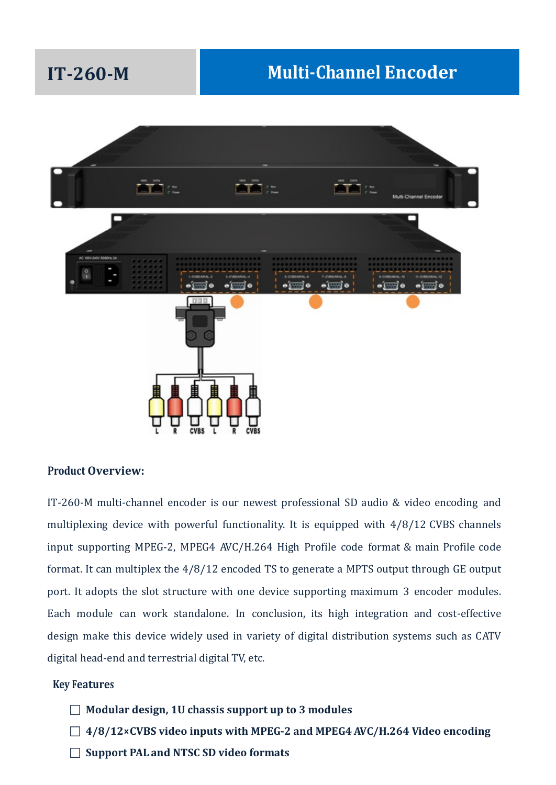# **IT-260-M Multi-Channel Encoder**



### **Product Overview:**

IT-260-M multi-channel encoder is our newest professional SD audio & video encoding and multiplexing device with powerful functionality. It is equipped with 4/8/12 CVBS channels input supporting MPEG-2, MPEG4 AVC/H.264 High Profile code format & main Profile code format. It can multiplex the 4/8/12 encoded TS to generate a MPTS output through GE output port. It adopts the slot structure with one device supporting maximum 3 encoder modules. Each module can work standalone. In conclusion, its high integration and cost-effective design make this device widely used in variety of digital distribution systems such as CATV digital head-end and terrestrial digital TV, etc.

#### **Key Features**

- **Modular design, 1U chassis support up to 3 modules**
- **4/8/12×CVBS video inputs with MPEG-2 and MPEG4 AVC/H.264 Video encoding**
- **Support PAL and NTSC SD video formats**